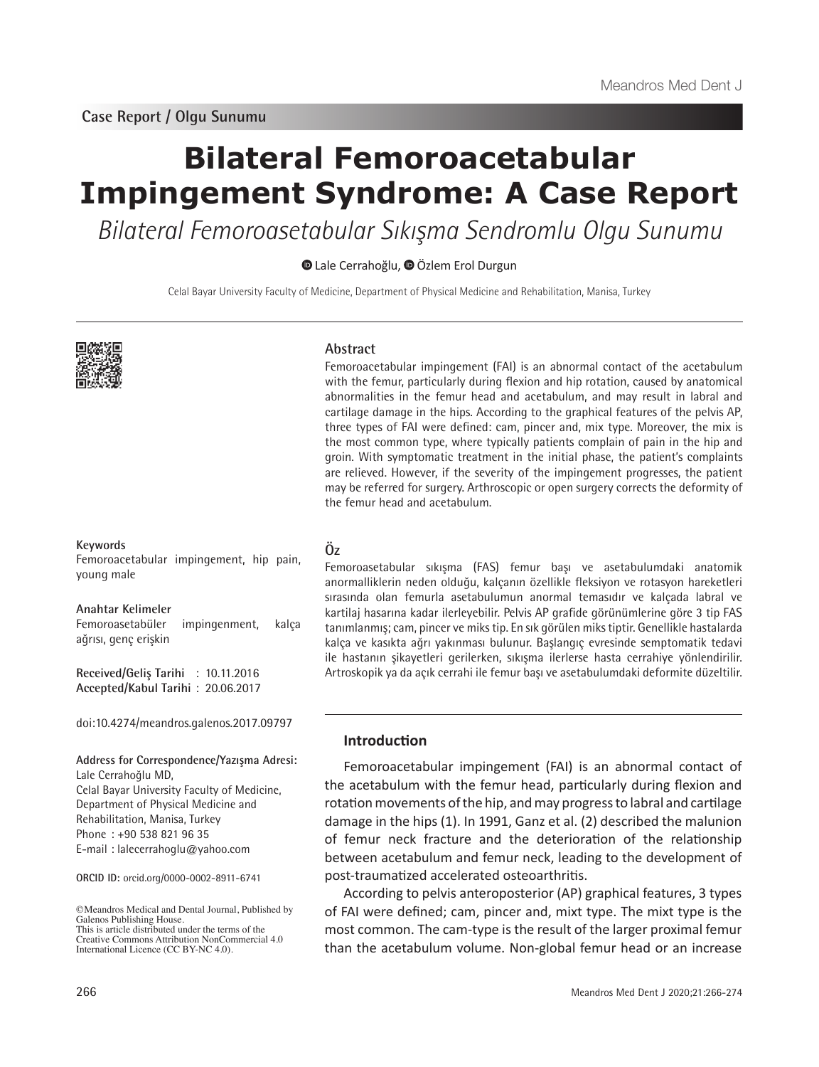**Case Report / Olgu Sunumu**

# **Bilateral Femoroacetabular Impingement Syndrome: A Case Report**

Bilateral Femoroasetabular Sıkışma Sendromlu Olgu Sunumu

Lale Cerrahoğlu,Özlem Erol Durgun

Celal Bayar University Faculty of Medicine, Department of Physical Medicine and Rehabilitation, Manisa, Turkey



#### **Keywords**

Femoroacetabular impingement, hip pain, young male

**Anahtar Kelimeler**

Femoroasetabüler impingenment, kalça ağrısı, genç erişkin

**Received/Geliş Tarihi** : 10.11.2016 **Accepted/Kabul Tarihi** : 20.06.2017

doi:10.4274/meandros.galenos.2017.09797

#### **Address for Correspondence/Yazışma Adresi:** Lale Cerrahoğlu MD,

Celal Bayar University Faculty of Medicine, Department of Physical Medicine and Rehabilitation, Manisa, Turkey Phone : +90 538 821 96 35 E-mail : lalecerrahoglu@yahoo.com

**ORCID ID:** orcid.org/0000-0002-8911-6741

©Meandros Medical and Dental Journal, Published by Galenos Publishing House. This is article distributed under the terms of the

#### **Abstract**

Femoroacetabular impingement (FAI) is an abnormal contact of the acetabulum with the femur, particularly during flexion and hip rotation, caused by anatomical abnormalities in the femur head and acetabulum, and may result in labral and cartilage damage in the hips. According to the graphical features of the pelvis AP, three types of FAI were defined: cam, pincer and, mix type. Moreover, the mix is the most common type, where typically patients complain of pain in the hip and groin. With symptomatic treatment in the initial phase, the patient's complaints are relieved. However, if the severity of the impingement progresses, the patient may be referred for surgery. Arthroscopic or open surgery corrects the deformity of the femur head and acetabulum.

**Öz**

Femoroasetabular sıkışma (FAS) femur başı ve asetabulumdaki anatomik anormalliklerin neden olduğu, kalçanın özellikle fleksiyon ve rotasyon hareketleri sırasında olan femurla asetabulumun anormal temasıdır ve kalçada labral ve kartilaj hasarına kadar ilerleyebilir. Pelvis AP grafide görünümlerine göre 3 tip FAS tanımlanmış; cam, pincer ve miks tip. En sık görülen miks tiptir. Genellikle hastalarda kalça ve kasıkta ağrı yakınması bulunur. Başlangıç evresinde semptomatik tedavi ile hastanın şikayetleri gerilerken, sıkışma ilerlerse hasta cerrahiye yönlendirilir. Artroskopik ya da açık cerrahi ile femur başı ve asetabulumdaki deformite düzeltilir.

## **Introduction**

Femoroacetabular impingement (FAI) is an abnormal contact of the acetabulum with the femur head, particularly during flexion and rotation movements of the hip, and may progress to labral and cartilage damage in the hips (1). In 1991, Ganz et al. (2) described the malunion of femur neck fracture and the deterioration of the relationship between acetabulum and femur neck, leading to the development of post-traumatized accelerated osteoarthritis.

According to pelvis anteroposterior (AP) graphical features, 3 types of FAI were defined; cam, pincer and, mixt type. The mixt type is the most common. The cam-type is the result of the larger proximal femur than the acetabulum volume. Non-global femur head or an increase

Creative Commons Attribution NonCommercial 4.0 International Licence (CC BY-NC 4.0).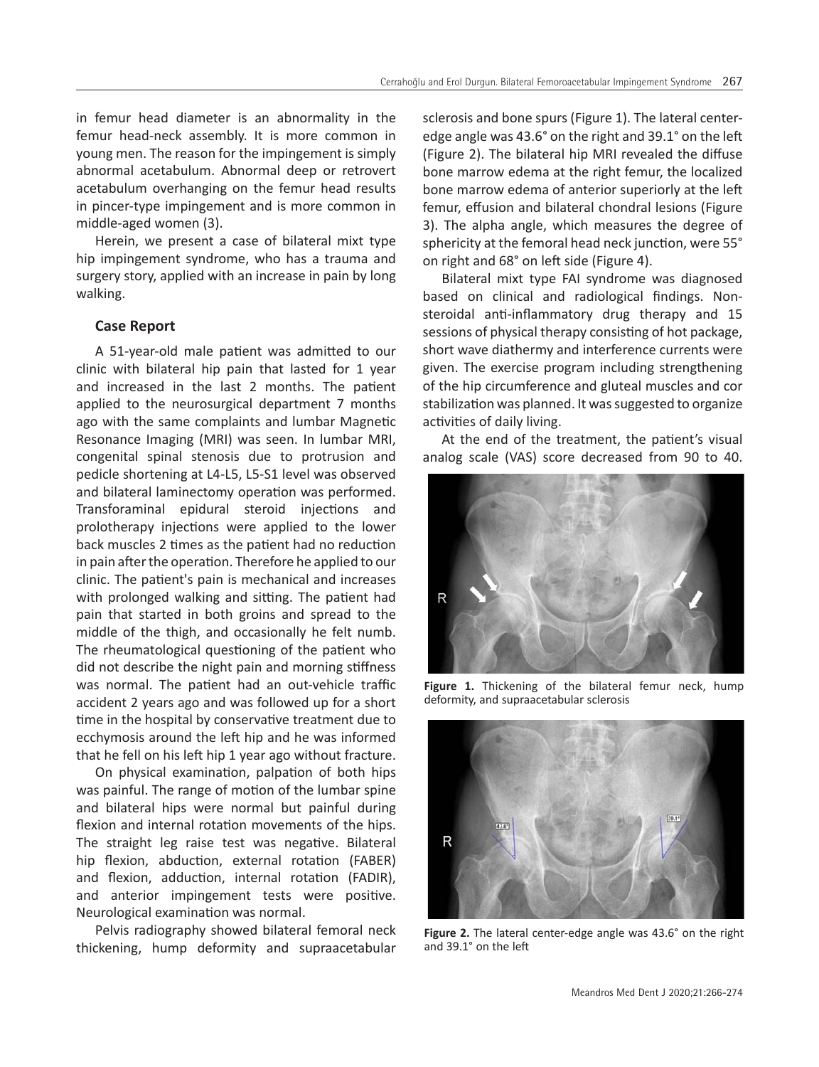in femur head diameter is an abnormality in the femur head-neck assembly. It is more common in young men. The reason for the impingement is simply abnormal acetabulum. Abnormal deep or retrovert acetabulum overhanging on the femur head results in pincer-type impingement and is more common in middle-aged women (3).

Herein, we present a case of bilateral mixt type hip impingement syndrome, who has a trauma and surgery story, applied with an increase in pain by long walking.

## **Case Report**

A 51-year-old male patient was admitted to our clinic with bilateral hip pain that lasted for 1 year and increased in the last 2 months. The patient applied to the neurosurgical department 7 months ago with the same complaints and lumbar Magnetic Resonance Imaging (MRI) was seen. In lumbar MRI, congenital spinal stenosis due to protrusion and pedicle shortening at L4-L5, L5-S1 level was observed and bilateral laminectomy operation was performed. Transforaminal epidural steroid injections and prolotherapy injections were applied to the lower back muscles 2 times as the patient had no reduction in pain after the operation. Therefore he applied to our clinic. The patient's pain is mechanical and increases with prolonged walking and sitting. The patient had pain that started in both groins and spread to the middle of the thigh, and occasionally he felt numb. The rheumatological questioning of the patient who did not describe the night pain and morning stiffness was normal. The patient had an out-vehicle traffic accident 2 years ago and was followed up for a short time in the hospital by conservative treatment due to ecchymosis around the left hip and he was informed that he fell on his left hip 1 year ago without fracture.

On physical examination, palpation of both hips was painful. The range of motion of the lumbar spine and bilateral hips were normal but painful during flexion and internal rotation movements of the hips. The straight leg raise test was negative. Bilateral hip flexion, abduction, external rotation (FABER) and flexion, adduction, internal rotation (FADIR), and anterior impingement tests were positive. Neurological examination was normal.

Pelvis radiography showed bilateral femoral neck thickening, hump deformity and supraacetabular

sclerosis and bone spurs (Figure 1). The lateral centeredge angle was 43.6° on the right and 39.1° on the left (Figure 2). The bilateral hip MRI revealed the diffuse bone marrow edema at the right femur, the localized bone marrow edema of anterior superiorly at the left femur, effusion and bilateral chondral lesions (Figure 3). The alpha angle, which measures the degree of sphericity at the femoral head neck junction, were 55° on right and 68° on left side (Figure 4).

Bilateral mixt type FAI syndrome was diagnosed based on clinical and radiological findings. Nonsteroidal anti-inflammatory drug therapy and 15 sessions of physical therapy consisting of hot package, short wave diathermy and interference currents were given. The exercise program including strengthening of the hip circumference and gluteal muscles and cor stabilization was planned. It was suggested to organize activities of daily living.

At the end of the treatment, the patient's visual analog scale (VAS) score decreased from 90 to 40.



**Figure 1.** Thickening of the bilateral femur neck, hump deformity, and supraacetabular sclerosis



**Figure 2.** The lateral center-edge angle was 43.6° on the right and 39.1° on the left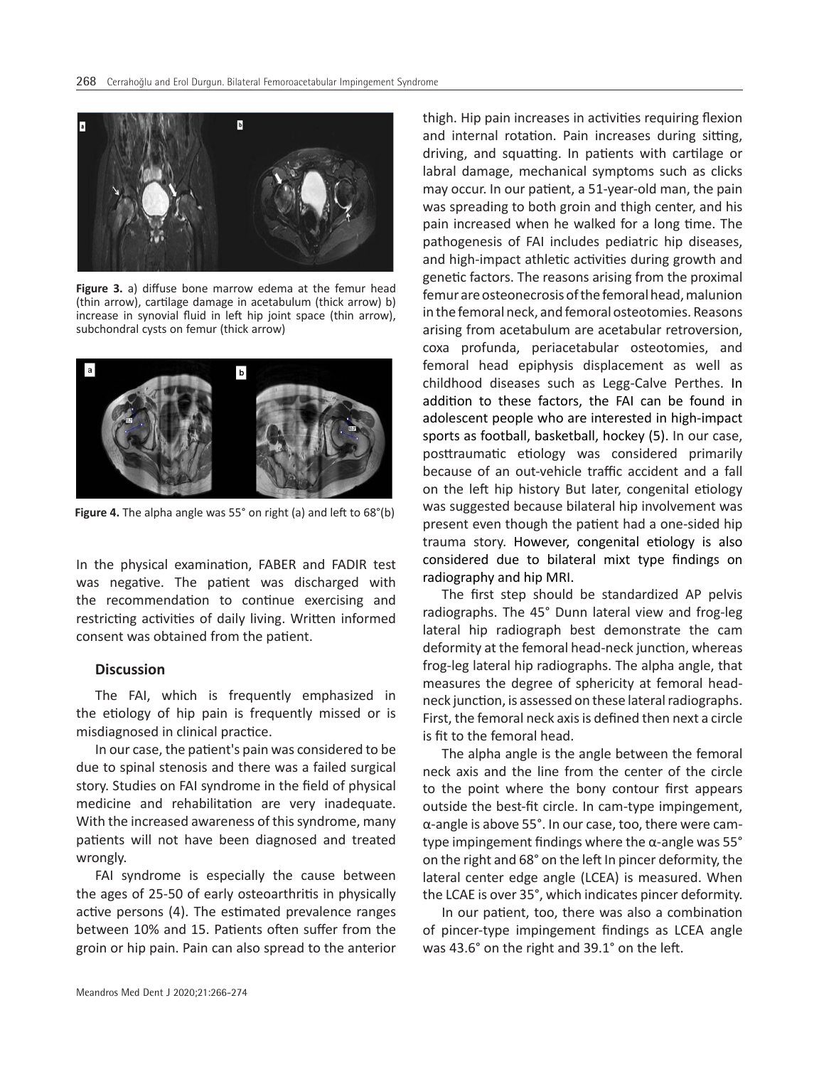

**Figure 3.** a) diffuse bone marrow edema at the femur head (thin arrow), cartilage damage in acetabulum (thick arrow) b) increase in synovial fluid in left hip joint space (thin arrow), subchondral cysts on femur (thick arrow)



**Figure 4.** The alpha angle was 55° on right (a) and left to 68°(b)

In the physical examination, FABER and FADIR test was negative. The patient was discharged with the recommendation to continue exercising and restricting activities of daily living. Written informed consent was obtained from the patient.

# **Discussion**

The FAI, which is frequently emphasized in the etiology of hip pain is frequently missed or is misdiagnosed in clinical practice.

In our case, the patient's pain was considered to be due to spinal stenosis and there was a failed surgical story. Studies on FAI syndrome in the field of physical medicine and rehabilitation are very inadequate. With the increased awareness of this syndrome, many patients will not have been diagnosed and treated wrongly.

FAI syndrome is especially the cause between the ages of 25-50 of early osteoarthritis in physically active persons (4). The estimated prevalence ranges between 10% and 15. Patients often suffer from the groin or hip pain. Pain can also spread to the anterior

thigh. Hip pain increases in activities requiring flexion and internal rotation. Pain increases during sitting, driving, and squatting. In patients with cartilage or labral damage, mechanical symptoms such as clicks may occur. In our patient, a 51-year-old man, the pain was spreading to both groin and thigh center, and his pain increased when he walked for a long time. The pathogenesis of FAI includes pediatric hip diseases, and high-impact athletic activities during growth and genetic factors. The reasons arising from the proximal femur are osteonecrosis of the femoral head, malunion in the femoral neck, and femoral osteotomies. Reasons arising from acetabulum are acetabular retroversion, coxa profunda, periacetabular osteotomies, and femoral head epiphysis displacement as well as childhood diseases such as Legg-Calve Perthes. In addition to these factors, the FAI can be found in adolescent people who are interested in high-impact sports as football, basketball, hockey (5). In our case, posttraumatic etiology was considered primarily because of an out-vehicle traffic accident and a fall on the left hip history But later, congenital etiology was suggested because bilateral hip involvement was present even though the patient had a one-sided hip trauma story. However, congenital etiology is also considered due to bilateral mixt type findings on radiography and hip MRI.

The first step should be standardized AP pelvis radiographs. The 45° Dunn lateral view and frog-leg lateral hip radiograph best demonstrate the cam deformity at the femoral head-neck junction, whereas frog-leg lateral hip radiographs. The alpha angle, that measures the degree of sphericity at femoral headneck junction, is assessed on these lateral radiographs. First, the femoral neck axis is defined then next a circle is fit to the femoral head.

The alpha angle is the angle between the femoral neck axis and the line from the center of the circle to the point where the bony contour first appears outside the best-fit circle. In cam-type impingement, α-angle is above 55°. In our case, too, there were camtype impingement findings where the α-angle was  $55^\circ$ on the right and 68° on the left In pincer deformity, the lateral center edge angle (LCEA) is measured. When the LCAE is over 35°, which indicates pincer deformity.

In our patient, too, there was also a combination of pincer-type impingement findings as LCEA angle was 43.6° on the right and 39.1° on the left.